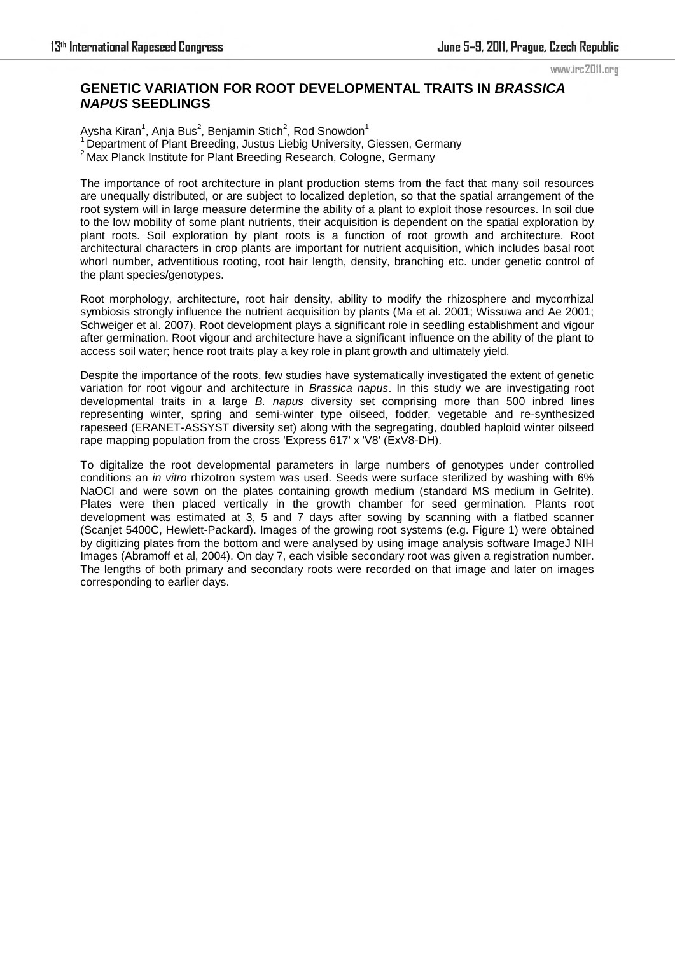## www.irc2011.org

## **GENETIC VARIATION FOR ROOT DEVELOPMENTAL TRAITS IN** *BRASSICA NAPUS* **SEEDLINGS**

Aysha Kiran $^1$ , Anja Bus $^2$ , Benjamin Stich $^2$ , Rod Snowdon $^1$  $1$  Department of Plant Breeding, Justus Liebig University, Giessen, Germany <sup>2</sup> Max Planck Institute for Plant Breeding Research, Cologne, Germany

The importance of root architecture in plant production stems from the fact that many soil resources are unequally distributed, or are subject to localized depletion, so that the spatial arrangement of the root system will in large measure determine the ability of a plant to exploit those resources. In soil due to the low mobility of some plant nutrients, their acquisition is dependent on the spatial exploration by plant roots. Soil exploration by plant roots is a function of root growth and architecture. Root architectural characters in crop plants are important for nutrient acquisition, which includes basal root whorl number, adventitious rooting, root hair length, density, branching etc. under genetic control of the plant species/genotypes.

Root morphology, architecture, root hair density, ability to modify the rhizosphere and mycorrhizal symbiosis strongly influence the nutrient acquisition by plants (Ma et al. 2001; Wissuwa and Ae 2001; Schweiger et al. 2007). Root development plays a significant role in seedling establishment and vigour after germination. Root vigour and architecture have a significant influence on the ability of the plant to access soil water; hence root traits play a key role in plant growth and ultimately yield.

Despite the importance of the roots, few studies have systematically investigated the extent of genetic variation for root vigour and architecture in *Brassica napus*. In this study we are investigating root developmental traits in a large *B. napus* diversity set comprising more than 500 inbred lines representing winter, spring and semi-winter type oilseed, fodder, vegetable and re-synthesized rapeseed (ERANET-ASSYST diversity set) along with the segregating, doubled haploid winter oilseed rape mapping population from the cross 'Express 617' x 'V8' (ExV8-DH).

To digitalize the root developmental parameters in large numbers of genotypes under controlled conditions an *in vitro* rhizotron system was used. Seeds were surface sterilized by washing with 6% NaOCl and were sown on the plates containing growth medium (standard MS medium in Gelrite). Plates were then placed vertically in the growth chamber for seed germination. Plants root development was estimated at 3, 5 and 7 days after sowing by scanning with a flatbed scanner (Scanjet 5400C, Hewlett-Packard). Images of the growing root systems (e.g. Figure 1) were obtained by digitizing plates from the bottom and were analysed by using image analysis software ImageJ NIH Images (Abramoff et al, 2004). On day 7, each visible secondary root was given a registration number. The lengths of both primary and secondary roots were recorded on that image and later on images corresponding to earlier days.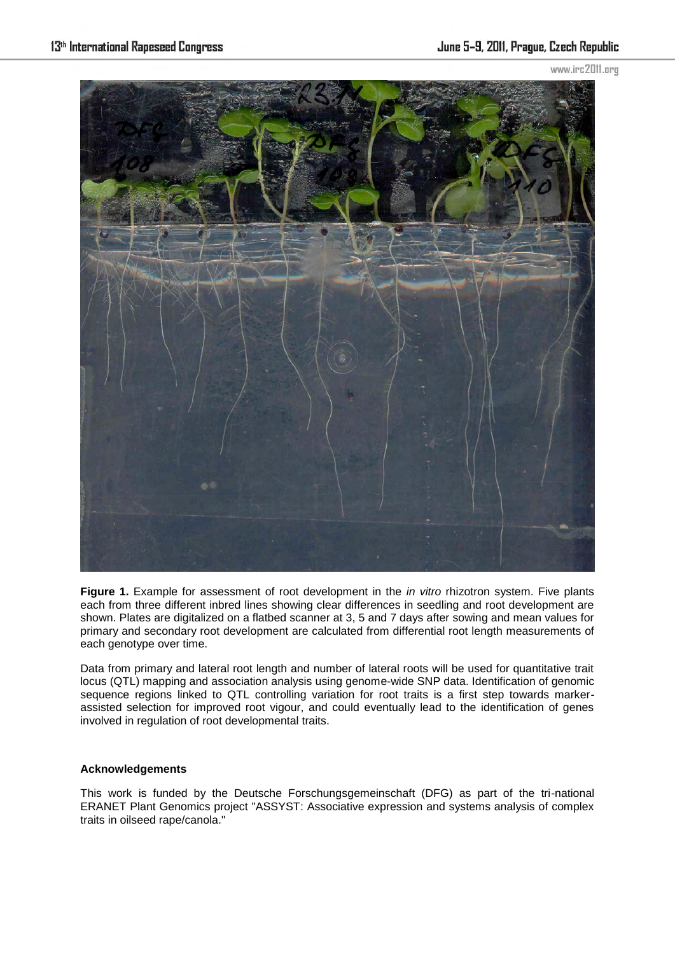www.irc2011.org



**Figure 1.** Example for assessment of root development in the *in vitro* rhizotron system. Five plants each from three different inbred lines showing clear differences in seedling and root development are shown. Plates are digitalized on a flatbed scanner at 3, 5 and 7 days after sowing and mean values for primary and secondary root development are calculated from differential root length measurements of each genotype over time.

Data from primary and lateral root length and number of lateral roots will be used for quantitative trait locus (QTL) mapping and association analysis using genome-wide SNP data. Identification of genomic sequence regions linked to QTL controlling variation for root traits is a first step towards markerassisted selection for improved root vigour, and could eventually lead to the identification of genes involved in regulation of root developmental traits.

## **Acknowledgements**

This work is funded by the Deutsche Forschungsgemeinschaft (DFG) as part of the tri-national ERANET Plant Genomics project "ASSYST: Associative expression and systems analysis of complex traits in oilseed rape/canola."